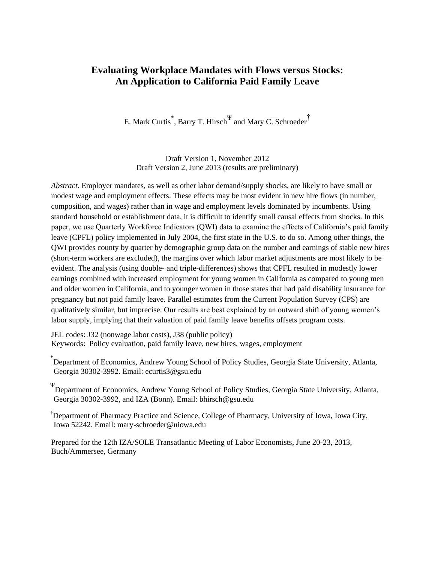# **Evaluating Workplace Mandates with Flows versus Stocks: An Application to California Paid Family Leave**

E. Mark Curtis<sup>\*</sup>, Barry T. Hirsch<sup>Ψ</sup> and Mary C. Schroeder<sup>†</sup>

Draft Version 1, November 2012 Draft Version 2, June 2013 (results are preliminary)

*Abstract*. Employer mandates, as well as other labor demand/supply shocks, are likely to have small or modest wage and employment effects. These effects may be most evident in new hire flows (in number, composition, and wages) rather than in wage and employment levels dominated by incumbents. Using standard household or establishment data, it is difficult to identify small causal effects from shocks. In this paper, we use Quarterly Workforce Indicators (QWI) data to examine the effects of California's paid family leave (CPFL) policy implemented in July 2004, the first state in the U.S. to do so. Among other things, the QWI provides county by quarter by demographic group data on the number and earnings of stable new hires (short-term workers are excluded), the margins over which labor market adjustments are most likely to be evident. The analysis (using double- and triple-differences) shows that CPFL resulted in modestly lower earnings combined with increased employment for young women in California as compared to young men and older women in California, and to younger women in those states that had paid disability insurance for pregnancy but not paid family leave. Parallel estimates from the Current Population Survey (CPS) are qualitatively similar, but imprecise. Our results are best explained by an outward shift of young women's labor supply, implying that their valuation of paid family leave benefits offsets program costs.

JEL codes: J32 (nonwage labor costs), J38 (public policy) Keywords: Policy evaluation, paid family leave, new hires, wages, employment

\* Department of Economics, Andrew Young School of Policy Studies, Georgia State University, Atlanta, Georgia 30302-3992. Email: ecurtis3@gsu.edu

Ψ Department of Economics, Andrew Young School of Policy Studies, Georgia State University, Atlanta, Georgia 30302-3992, and IZA (Bonn). Email: bhirsch@gsu.edu

†Department of Pharmacy Practice and Science, College of Pharmacy, University of Iowa, Iowa City, Iowa 52242. Email: mary-schroeder@uiowa.edu

Prepared for the 12th IZA/SOLE Transatlantic Meeting of Labor Economists, June 20-23, 2013, Buch/Ammersee, Germany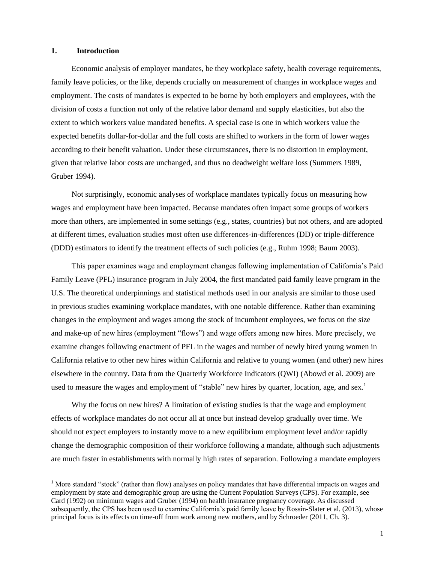## **1. Introduction**

 $\overline{a}$ 

Economic analysis of employer mandates, be they workplace safety, health coverage requirements, family leave policies, or the like, depends crucially on measurement of changes in workplace wages and employment. The costs of mandates is expected to be borne by both employers and employees, with the division of costs a function not only of the relative labor demand and supply elasticities, but also the extent to which workers value mandated benefits. A special case is one in which workers value the expected benefits dollar-for-dollar and the full costs are shifted to workers in the form of lower wages according to their benefit valuation. Under these circumstances, there is no distortion in employment, given that relative labor costs are unchanged, and thus no deadweight welfare loss (Summers 1989, Gruber 1994).

Not surprisingly, economic analyses of workplace mandates typically focus on measuring how wages and employment have been impacted. Because mandates often impact some groups of workers more than others, are implemented in some settings (e.g., states, countries) but not others, and are adopted at different times, evaluation studies most often use differences-in-differences (DD) or triple-difference (DDD) estimators to identify the treatment effects of such policies (e.g., Ruhm 1998; Baum 2003).

This paper examines wage and employment changes following implementation of California's Paid Family Leave (PFL) insurance program in July 2004, the first mandated paid family leave program in the U.S. The theoretical underpinnings and statistical methods used in our analysis are similar to those used in previous studies examining workplace mandates, with one notable difference. Rather than examining changes in the employment and wages among the stock of incumbent employees, we focus on the size and make-up of new hires (employment "flows") and wage offers among new hires. More precisely, we examine changes following enactment of PFL in the wages and number of newly hired young women in California relative to other new hires within California and relative to young women (and other) new hires elsewhere in the country. Data from the Quarterly Workforce Indicators (QWI) (Abowd et al. 2009) are used to measure the wages and employment of "stable" new hires by quarter, location, age, and sex.<sup>1</sup>

Why the focus on new hires? A limitation of existing studies is that the wage and employment effects of workplace mandates do not occur all at once but instead develop gradually over time. We should not expect employers to instantly move to a new equilibrium employment level and/or rapidly change the demographic composition of their workforce following a mandate, although such adjustments are much faster in establishments with normally high rates of separation. Following a mandate employers

<sup>&</sup>lt;sup>1</sup> More standard "stock" (rather than flow) analyses on policy mandates that have differential impacts on wages and employment by state and demographic group are using the Current Population Surveys (CPS). For example, see Card (1992) on minimum wages and Gruber (1994) on health insurance pregnancy coverage. As discussed subsequently, the CPS has been used to examine California's paid family leave by Rossin-Slater et al. (2013), whose principal focus is its effects on time-off from work among new mothers, and by Schroeder (2011, Ch. 3).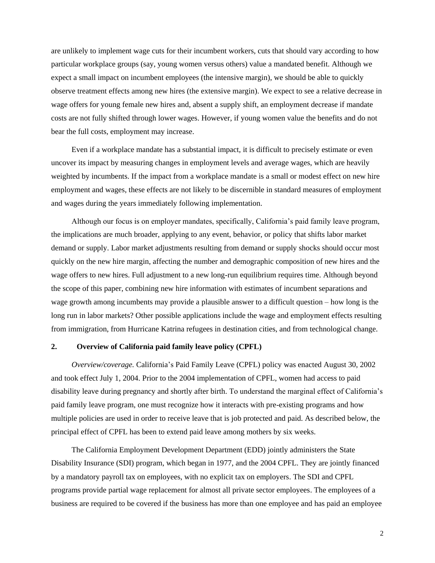are unlikely to implement wage cuts for their incumbent workers, cuts that should vary according to how particular workplace groups (say, young women versus others) value a mandated benefit. Although we expect a small impact on incumbent employees (the intensive margin), we should be able to quickly observe treatment effects among new hires (the extensive margin). We expect to see a relative decrease in wage offers for young female new hires and, absent a supply shift, an employment decrease if mandate costs are not fully shifted through lower wages. However, if young women value the benefits and do not bear the full costs, employment may increase.

Even if a workplace mandate has a substantial impact, it is difficult to precisely estimate or even uncover its impact by measuring changes in employment levels and average wages, which are heavily weighted by incumbents. If the impact from a workplace mandate is a small or modest effect on new hire employment and wages, these effects are not likely to be discernible in standard measures of employment and wages during the years immediately following implementation.

Although our focus is on employer mandates, specifically, California's paid family leave program, the implications are much broader, applying to any event, behavior, or policy that shifts labor market demand or supply. Labor market adjustments resulting from demand or supply shocks should occur most quickly on the new hire margin, affecting the number and demographic composition of new hires and the wage offers to new hires. Full adjustment to a new long-run equilibrium requires time. Although beyond the scope of this paper, combining new hire information with estimates of incumbent separations and wage growth among incumbents may provide a plausible answer to a difficult question – how long is the long run in labor markets? Other possible applications include the wage and employment effects resulting from immigration, from Hurricane Katrina refugees in destination cities, and from technological change.

#### **2. Overview of California paid family leave policy (CPFL)**

*Overview/coverage.* California's Paid Family Leave (CPFL) policy was enacted August 30, 2002 and took effect July 1, 2004. Prior to the 2004 implementation of CPFL, women had access to paid disability leave during pregnancy and shortly after birth. To understand the marginal effect of California's paid family leave program, one must recognize how it interacts with pre-existing programs and how multiple policies are used in order to receive leave that is job protected and paid. As described below, the principal effect of CPFL has been to extend paid leave among mothers by six weeks.

The California Employment Development Department (EDD) jointly administers the State Disability Insurance (SDI) program, which began in 1977, and the 2004 CPFL. They are jointly financed by a mandatory payroll tax on employees, with no explicit tax on employers. The SDI and CPFL programs provide partial wage replacement for almost all private sector employees. The employees of a business are required to be covered if the business has more than one employee and has paid an employee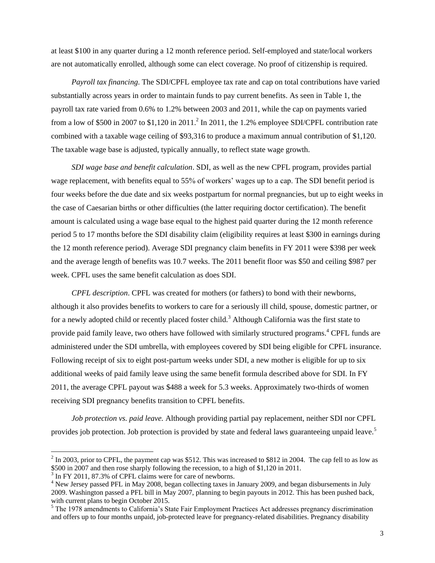at least \$100 in any quarter during a 12 month reference period. Self-employed and state/local workers are not automatically enrolled, although some can elect coverage. No proof of citizenship is required.

*Payroll tax financing*. The SDI/CPFL employee tax rate and cap on total contributions have varied substantially across years in order to maintain funds to pay current benefits. As seen in Table 1, the payroll tax rate varied from 0.6% to 1.2% between 2003 and 2011, while the cap on payments varied from a low of \$500 in 2007 to \$1,120 in 2011.<sup>2</sup> In 2011, the 1.2% employee SDI/CPFL contribution rate combined with a taxable wage ceiling of \$93,316 to produce a maximum annual contribution of \$1,120. The taxable wage base is adjusted, typically annually, to reflect state wage growth.

*SDI wage base and benefit calculation*. SDI, as well as the new CPFL program, provides partial wage replacement, with benefits equal to 55% of workers' wages up to a cap. The SDI benefit period is four weeks before the due date and six weeks postpartum for normal pregnancies, but up to eight weeks in the case of Caesarian births or other difficulties (the latter requiring doctor certification). The benefit amount is calculated using a wage base equal to the highest paid quarter during the 12 month reference period 5 to 17 months before the SDI disability claim (eligibility requires at least \$300 in earnings during the 12 month reference period). Average SDI pregnancy claim benefits in FY 2011 were \$398 per week and the average length of benefits was 10.7 weeks. The 2011 benefit floor was \$50 and ceiling \$987 per week. CPFL uses the same benefit calculation as does SDI.

*CPFL description*. CPFL was created for mothers (or fathers) to bond with their newborns, although it also provides benefits to workers to care for a seriously ill child, spouse, domestic partner, or for a newly adopted child or recently placed foster child.<sup>3</sup> Although California was the first state to provide paid family leave, two others have followed with similarly structured programs.<sup>4</sup> CPFL funds are administered under the SDI umbrella, with employees covered by SDI being eligible for CPFL insurance. Following receipt of six to eight post-partum weeks under SDI, a new mother is eligible for up to six additional weeks of paid family leave using the same benefit formula described above for SDI. In FY 2011, the average CPFL payout was \$488 a week for 5.3 weeks. Approximately two-thirds of women receiving SDI pregnancy benefits transition to CPFL benefits.

*Job protection vs. paid leave.* Although providing partial pay replacement, neither SDI nor CPFL provides job protection. Job protection is provided by state and federal laws guaranteeing unpaid leave.<sup>5</sup>

 $2 \text{ In } 2003$ , prior to CPFL, the payment cap was \$512. This was increased to \$812 in 2004. The cap fell to as low as \$500 in 2007 and then rose sharply following the recession, to a high of \$1,120 in 2011.

<sup>&</sup>lt;sup>3</sup> In FY 2011, 87.3% of CPFL claims were for care of newborns.

<sup>&</sup>lt;sup>4</sup> New Jersey passed PFL in May 2008, began collecting taxes in January 2009, and began disbursements in July 2009. Washington passed a PFL bill in May 2007, planning to begin payouts in 2012. This has been pushed back, with current plans to begin October 2015.

 $<sup>5</sup>$  The 1978 amendments to California's State Fair Employment Practices Act addresses pregnancy discrimination</sup> and offers up to four months unpaid, job-protected leave for pregnancy-related disabilities. Pregnancy disability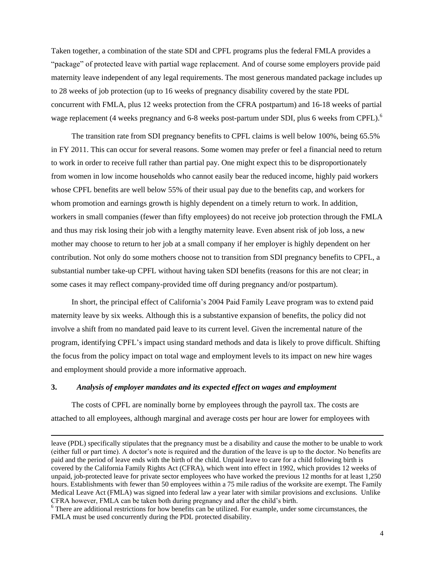Taken together, a combination of the state SDI and CPFL programs plus the federal FMLA provides a "package" of protected leave with partial wage replacement. And of course some employers provide paid maternity leave independent of any legal requirements. The most generous mandated package includes up to 28 weeks of job protection (up to 16 weeks of pregnancy disability covered by the state PDL concurrent with FMLA, plus 12 weeks protection from the CFRA postpartum) and 16-18 weeks of partial wage replacement (4 weeks pregnancy and 6-8 weeks post-partum under SDI, plus 6 weeks from CPFL).<sup>6</sup>

The transition rate from SDI pregnancy benefits to CPFL claims is well below 100%, being 65.5% in FY 2011. This can occur for several reasons. Some women may prefer or feel a financial need to return to work in order to receive full rather than partial pay. One might expect this to be disproportionately from women in low income households who cannot easily bear the reduced income, highly paid workers whose CPFL benefits are well below 55% of their usual pay due to the benefits cap, and workers for whom promotion and earnings growth is highly dependent on a timely return to work. In addition, workers in small companies (fewer than fifty employees) do not receive job protection through the FMLA and thus may risk losing their job with a lengthy maternity leave. Even absent risk of job loss, a new mother may choose to return to her job at a small company if her employer is highly dependent on her contribution. Not only do some mothers choose not to transition from SDI pregnancy benefits to CPFL, a substantial number take-up CPFL without having taken SDI benefits (reasons for this are not clear; in some cases it may reflect company-provided time off during pregnancy and/or postpartum).

In short, the principal effect of California's 2004 Paid Family Leave program was to extend paid maternity leave by six weeks. Although this is a substantive expansion of benefits, the policy did not involve a shift from no mandated paid leave to its current level. Given the incremental nature of the program, identifying CPFL's impact using standard methods and data is likely to prove difficult. Shifting the focus from the policy impact on total wage and employment levels to its impact on new hire wages and employment should provide a more informative approach.

## **3.** *Analysis of employer mandates and its expected effect on wages and employment*

 $\overline{a}$ 

The costs of CPFL are nominally borne by employees through the payroll tax. The costs are attached to all employees, although marginal and average costs per hour are lower for employees with

leave (PDL) specifically stipulates that the pregnancy must be a disability and cause the mother to be unable to work (either full or part time). A doctor's note is required and the duration of the leave is up to the doctor. No benefits are paid and the period of leave ends with the birth of the child. Unpaid leave to care for a child following birth is covered by the California Family Rights Act (CFRA), which went into effect in 1992, which provides 12 weeks of unpaid, job-protected leave for private sector employees who have worked the previous 12 months for at least 1,250 hours. Establishments with fewer than 50 employees within a 75 mile radius of the worksite are exempt. The Family Medical Leave Act (FMLA) was signed into federal law a year later with similar provisions and exclusions. Unlike CFRA however, FMLA can be taken both during pregnancy and after the child's birth.

 $6$  There are additional restrictions for how benefits can be utilized. For example, under some circumstances, the FMLA must be used concurrently during the PDL protected disability.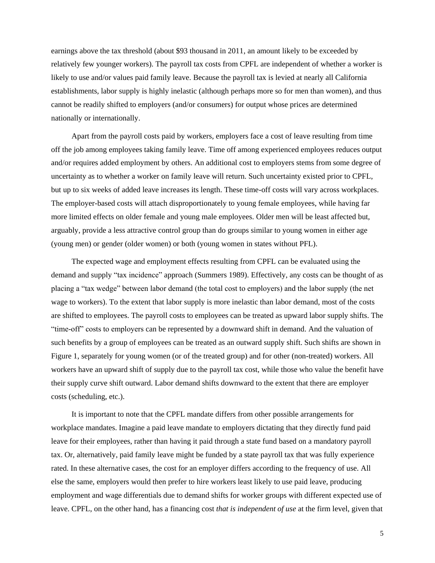earnings above the tax threshold (about \$93 thousand in 2011, an amount likely to be exceeded by relatively few younger workers). The payroll tax costs from CPFL are independent of whether a worker is likely to use and/or values paid family leave. Because the payroll tax is levied at nearly all California establishments, labor supply is highly inelastic (although perhaps more so for men than women), and thus cannot be readily shifted to employers (and/or consumers) for output whose prices are determined nationally or internationally.

Apart from the payroll costs paid by workers, employers face a cost of leave resulting from time off the job among employees taking family leave. Time off among experienced employees reduces output and/or requires added employment by others. An additional cost to employers stems from some degree of uncertainty as to whether a worker on family leave will return. Such uncertainty existed prior to CPFL, but up to six weeks of added leave increases its length. These time-off costs will vary across workplaces. The employer-based costs will attach disproportionately to young female employees, while having far more limited effects on older female and young male employees. Older men will be least affected but, arguably, provide a less attractive control group than do groups similar to young women in either age (young men) or gender (older women) or both (young women in states without PFL).

The expected wage and employment effects resulting from CPFL can be evaluated using the demand and supply "tax incidence" approach (Summers 1989). Effectively, any costs can be thought of as placing a "tax wedge" between labor demand (the total cost to employers) and the labor supply (the net wage to workers). To the extent that labor supply is more inelastic than labor demand, most of the costs are shifted to employees. The payroll costs to employees can be treated as upward labor supply shifts. The "time-off" costs to employers can be represented by a downward shift in demand. And the valuation of such benefits by a group of employees can be treated as an outward supply shift. Such shifts are shown in Figure 1, separately for young women (or of the treated group) and for other (non-treated) workers. All workers have an upward shift of supply due to the payroll tax cost, while those who value the benefit have their supply curve shift outward. Labor demand shifts downward to the extent that there are employer costs (scheduling, etc.).

It is important to note that the CPFL mandate differs from other possible arrangements for workplace mandates. Imagine a paid leave mandate to employers dictating that they directly fund paid leave for their employees, rather than having it paid through a state fund based on a mandatory payroll tax. Or, alternatively, paid family leave might be funded by a state payroll tax that was fully experience rated. In these alternative cases, the cost for an employer differs according to the frequency of use. All else the same, employers would then prefer to hire workers least likely to use paid leave, producing employment and wage differentials due to demand shifts for worker groups with different expected use of leave. CPFL, on the other hand, has a financing cost *that is independent of use* at the firm level, given that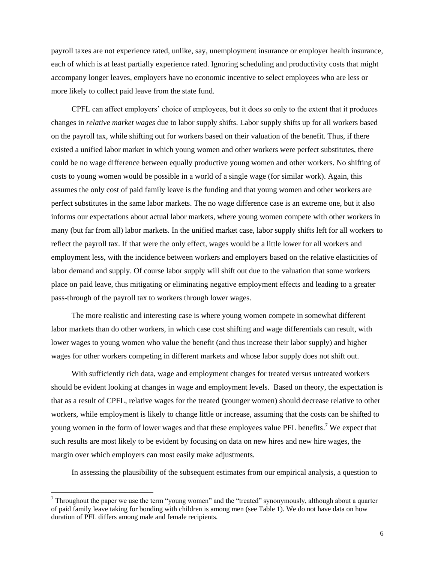payroll taxes are not experience rated, unlike, say, unemployment insurance or employer health insurance, each of which is at least partially experience rated. Ignoring scheduling and productivity costs that might accompany longer leaves, employers have no economic incentive to select employees who are less or more likely to collect paid leave from the state fund.

CPFL can affect employers' choice of employees, but it does so only to the extent that it produces changes in *relative market wages* due to labor supply shifts. Labor supply shifts up for all workers based on the payroll tax, while shifting out for workers based on their valuation of the benefit. Thus, if there existed a unified labor market in which young women and other workers were perfect substitutes, there could be no wage difference between equally productive young women and other workers. No shifting of costs to young women would be possible in a world of a single wage (for similar work). Again, this assumes the only cost of paid family leave is the funding and that young women and other workers are perfect substitutes in the same labor markets. The no wage difference case is an extreme one, but it also informs our expectations about actual labor markets, where young women compete with other workers in many (but far from all) labor markets. In the unified market case, labor supply shifts left for all workers to reflect the payroll tax. If that were the only effect, wages would be a little lower for all workers and employment less, with the incidence between workers and employers based on the relative elasticities of labor demand and supply. Of course labor supply will shift out due to the valuation that some workers place on paid leave, thus mitigating or eliminating negative employment effects and leading to a greater pass-through of the payroll tax to workers through lower wages.

The more realistic and interesting case is where young women compete in somewhat different labor markets than do other workers, in which case cost shifting and wage differentials can result, with lower wages to young women who value the benefit (and thus increase their labor supply) and higher wages for other workers competing in different markets and whose labor supply does not shift out.

With sufficiently rich data, wage and employment changes for treated versus untreated workers should be evident looking at changes in wage and employment levels. Based on theory, the expectation is that as a result of CPFL, relative wages for the treated (younger women) should decrease relative to other workers, while employment is likely to change little or increase, assuming that the costs can be shifted to young women in the form of lower wages and that these employees value PFL benefits.<sup>7</sup> We expect that such results are most likely to be evident by focusing on data on new hires and new hire wages, the margin over which employers can most easily make adjustments.

In assessing the plausibility of the subsequent estimates from our empirical analysis, a question to

 $7$  Throughout the paper we use the term "young women" and the "treated" synonymously, although about a quarter of paid family leave taking for bonding with children is among men (see Table 1). We do not have data on how duration of PFL differs among male and female recipients.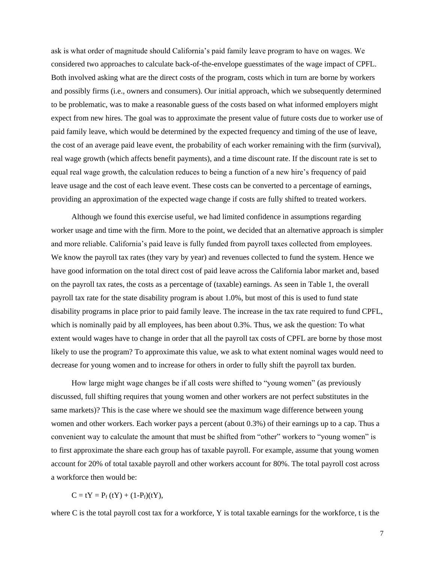ask is what order of magnitude should California's paid family leave program to have on wages. We considered two approaches to calculate back-of-the-envelope guesstimates of the wage impact of CPFL. Both involved asking what are the direct costs of the program, costs which in turn are borne by workers and possibly firms (i.e., owners and consumers). Our initial approach, which we subsequently determined to be problematic, was to make a reasonable guess of the costs based on what informed employers might expect from new hires. The goal was to approximate the present value of future costs due to worker use of paid family leave, which would be determined by the expected frequency and timing of the use of leave, the cost of an average paid leave event, the probability of each worker remaining with the firm (survival), real wage growth (which affects benefit payments), and a time discount rate. If the discount rate is set to equal real wage growth, the calculation reduces to being a function of a new hire's frequency of paid leave usage and the cost of each leave event. These costs can be converted to a percentage of earnings, providing an approximation of the expected wage change if costs are fully shifted to treated workers.

Although we found this exercise useful, we had limited confidence in assumptions regarding worker usage and time with the firm. More to the point, we decided that an alternative approach is simpler and more reliable. California's paid leave is fully funded from payroll taxes collected from employees. We know the payroll tax rates (they vary by year) and revenues collected to fund the system. Hence we have good information on the total direct cost of paid leave across the California labor market and, based on the payroll tax rates, the costs as a percentage of (taxable) earnings. As seen in Table 1, the overall payroll tax rate for the state disability program is about 1.0%, but most of this is used to fund state disability programs in place prior to paid family leave. The increase in the tax rate required to fund CPFL, which is nominally paid by all employees, has been about 0.3%. Thus, we ask the question: To what extent would wages have to change in order that all the payroll tax costs of CPFL are borne by those most likely to use the program? To approximate this value, we ask to what extent nominal wages would need to decrease for young women and to increase for others in order to fully shift the payroll tax burden.

How large might wage changes be if all costs were shifted to "young women" (as previously discussed, full shifting requires that young women and other workers are not perfect substitutes in the same markets)? This is the case where we should see the maximum wage difference between young women and other workers. Each worker pays a percent (about 0.3%) of their earnings up to a cap. Thus a convenient way to calculate the amount that must be shifted from "other" workers to "young women" is to first approximate the share each group has of taxable payroll. For example, assume that young women account for 20% of total taxable payroll and other workers account for 80%. The total payroll cost across a workforce then would be:

$$
C = tY = P_f(tY) + (1-P_f)(tY),
$$

where C is the total payroll cost tax for a workforce, Y is total taxable earnings for the workforce, t is the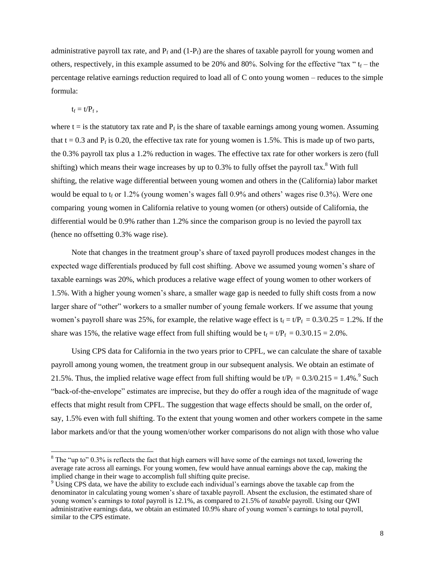administrative payroll tax rate, and  $P_f$  and  $(1-P_f)$  are the shares of taxable payroll for young women and others, respectively, in this example assumed to be 20% and 80%. Solving for the effective "tax "  $t_f$  – the percentage relative earnings reduction required to load all of C onto young women – reduces to the simple formula:

$$
t_f = t/P_f \; , \qquad
$$

 $\overline{a}$ 

where  $t =$  is the statutory tax rate and  $P_f$  is the share of taxable earnings among young women. Assuming that  $t = 0.3$  and  $P_f$  is 0.20, the effective tax rate for young women is 1.5%. This is made up of two parts, the 0.3% payroll tax plus a 1.2% reduction in wages. The effective tax rate for other workers is zero (full shifting) which means their wage increases by up to  $0.3\%$  to fully offset the payroll tax.<sup>8</sup> With full shifting, the relative wage differential between young women and others in the (California) labor market would be equal to  $t_f$  or 1.2% (young women's wages fall 0.9% and others' wages rise 0.3%). Were one comparing young women in California relative to young women (or others) outside of California, the differential would be 0.9% rather than 1.2% since the comparison group is no levied the payroll tax (hence no offsetting 0.3% wage rise).

Note that changes in the treatment group's share of taxed payroll produces modest changes in the expected wage differentials produced by full cost shifting. Above we assumed young women's share of taxable earnings was 20%, which produces a relative wage effect of young women to other workers of 1.5%. With a higher young women's share, a smaller wage gap is needed to fully shift costs from a now larger share of "other" workers to a smaller number of young female workers. If we assume that young women's payroll share was 25%, for example, the relative wage effect is  $t_f = t/P_f = 0.3/0.25 = 1.2$ %. If the share was 15%, the relative wage effect from full shifting would be  $t_f = t/P_f = 0.3/0.15 = 2.0\%$ .

Using CPS data for California in the two years prior to CPFL, we can calculate the share of taxable payroll among young women, the treatment group in our subsequent analysis. We obtain an estimate of 21.5%. Thus, the implied relative wage effect from full shifting would be  $t/P_f = 0.3/0.215 = 1.4\%$ . Such "back-of-the-envelope" estimates are imprecise, but they do offer a rough idea of the magnitude of wage effects that might result from CPFL. The suggestion that wage effects should be small, on the order of, say, 1.5% even with full shifting. To the extent that young women and other workers compete in the same labor markets and/or that the young women/other worker comparisons do not align with those who value

 $8$  The "up to" 0.3% is reflects the fact that high earners will have some of the earnings not taxed, lowering the average rate across all earnings. For young women, few would have annual earnings above the cap, making the implied change in their wage to accomplish full shifting quite precise.

<sup>&</sup>lt;sup>9</sup> Using CPS data, we have the ability to exclude each individual's earnings above the taxable cap from the denominator in calculating young women's share of taxable payroll. Absent the exclusion, the estimated share of young women's earnings to *total* payroll is 12.1%, as compared to 21.5% of *taxable* payroll. Using our QWI administrative earnings data, we obtain an estimated 10.9% share of young women's earnings to total payroll, similar to the CPS estimate.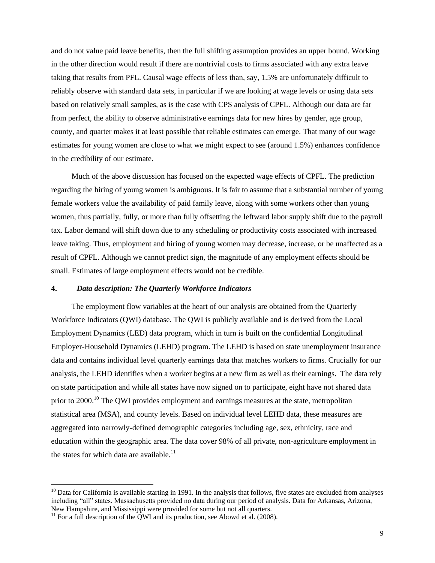and do not value paid leave benefits, then the full shifting assumption provides an upper bound. Working in the other direction would result if there are nontrivial costs to firms associated with any extra leave taking that results from PFL. Causal wage effects of less than, say, 1.5% are unfortunately difficult to reliably observe with standard data sets, in particular if we are looking at wage levels or using data sets based on relatively small samples, as is the case with CPS analysis of CPFL. Although our data are far from perfect, the ability to observe administrative earnings data for new hires by gender, age group, county, and quarter makes it at least possible that reliable estimates can emerge. That many of our wage estimates for young women are close to what we might expect to see (around 1.5%) enhances confidence in the credibility of our estimate.

Much of the above discussion has focused on the expected wage effects of CPFL. The prediction regarding the hiring of young women is ambiguous. It is fair to assume that a substantial number of young female workers value the availability of paid family leave, along with some workers other than young women, thus partially, fully, or more than fully offsetting the leftward labor supply shift due to the payroll tax. Labor demand will shift down due to any scheduling or productivity costs associated with increased leave taking. Thus, employment and hiring of young women may decrease, increase, or be unaffected as a result of CPFL. Although we cannot predict sign, the magnitude of any employment effects should be small. Estimates of large employment effects would not be credible.

#### **4.** *Data description: The Quarterly Workforce Indicators*

The employment flow variables at the heart of our analysis are obtained from the Quarterly Workforce Indicators (QWI) database. The QWI is publicly available and is derived from the Local Employment Dynamics (LED) data program, which in turn is built on the confidential Longitudinal Employer-Household Dynamics (LEHD) program. The LEHD is based on state unemployment insurance data and contains individual level quarterly earnings data that matches workers to firms. Crucially for our analysis, the LEHD identifies when a worker begins at a new firm as well as their earnings. The data rely on state participation and while all states have now signed on to participate, eight have not shared data prior to 2000.<sup>10</sup> The QWI provides employment and earnings measures at the state, metropolitan statistical area (MSA), and county levels. Based on individual level LEHD data, these measures are aggregated into narrowly-defined demographic categories including age, sex, ethnicity, race and education within the geographic area. The data cover 98% of all private, non-agriculture employment in the states for which data are available. $<sup>11</sup>$ </sup>

 $10$  Data for California is available starting in 1991. In the analysis that follows, five states are excluded from analyses including "all" states. Massachusetts provided no data during our period of analysis. Data for Arkansas, Arizona, New Hampshire, and Mississippi were provided for some but not all quarters.

 $11$  For a full description of the QWI and its production, see Abowd et al. (2008).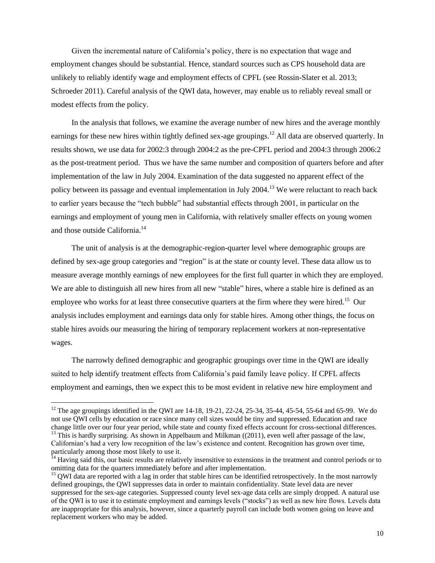Given the incremental nature of California's policy, there is no expectation that wage and employment changes should be substantial. Hence, standard sources such as CPS household data are unlikely to reliably identify wage and employment effects of CPFL (see Rossin-Slater et al. 2013; Schroeder 2011). Careful analysis of the QWI data, however, may enable us to reliably reveal small or modest effects from the policy.

In the analysis that follows, we examine the average number of new hires and the average monthly earnings for these new hires within tightly defined sex-age groupings.<sup>12</sup> All data are observed quarterly. In results shown, we use data for 2002:3 through 2004:2 as the pre-CPFL period and 2004:3 through 2006:2 as the post-treatment period. Thus we have the same number and composition of quarters before and after implementation of the law in July 2004. Examination of the data suggested no apparent effect of the policy between its passage and eventual implementation in July 2004.<sup>13</sup> We were reluctant to reach back to earlier years because the "tech bubble" had substantial effects through 2001, in particular on the earnings and employment of young men in California, with relatively smaller effects on young women and those outside California.<sup>14</sup>

The unit of analysis is at the demographic-region-quarter level where demographic groups are defined by sex-age group categories and "region" is at the state or county level. These data allow us to measure average monthly earnings of new employees for the first full quarter in which they are employed. We are able to distinguish all new hires from all new "stable" hires, where a stable hire is defined as an employee who works for at least three consecutive quarters at the firm where they were hired.<sup>15</sup> Our analysis includes employment and earnings data only for stable hires. Among other things, the focus on stable hires avoids our measuring the hiring of temporary replacement workers at non-representative wages.

The narrowly defined demographic and geographic groupings over time in the QWI are ideally suited to help identify treatment effects from California's paid family leave policy. If CPFL affects employment and earnings, then we expect this to be most evident in relative new hire employment and

<sup>&</sup>lt;sup>12</sup> The age groupings identified in the QWI are 14-18, 19-21, 22-24, 25-34, 35-44, 45-54, 55-64 and 65-99. We do not use QWI cells by education or race since many cell sizes would be tiny and suppressed. Education and race change little over our four year period, while state and county fixed effects account for cross-sectional differences. <sup>13</sup> This is hardly surprising. As shown in Appelbaum and Milkman ((2011), even well after passage of the law, Californian's had a very low recognition of the law's existence and content. Recognition has grown over time, particularly among those most likely to use it.

<sup>&</sup>lt;sup>14</sup> Having said this, our basic results are relatively insensitive to extensions in the treatment and control periods or to omitting data for the quarters immediately before and after implementation.

<sup>&</sup>lt;sup>15</sup> QWI data are reported with a lag in order that stable hires can be identified retrospectively. In the most narrowly defined groupings, the QWI suppresses data in order to maintain confidentiality. State level data are never suppressed for the sex-age categories. Suppressed county level sex-age data cells are simply dropped. A natural use of the QWI is to use it to estimate employment and earnings levels ("stocks") as well as new hire flows. Levels data are inappropriate for this analysis, however, since a quarterly payroll can include both women going on leave and replacement workers who may be added.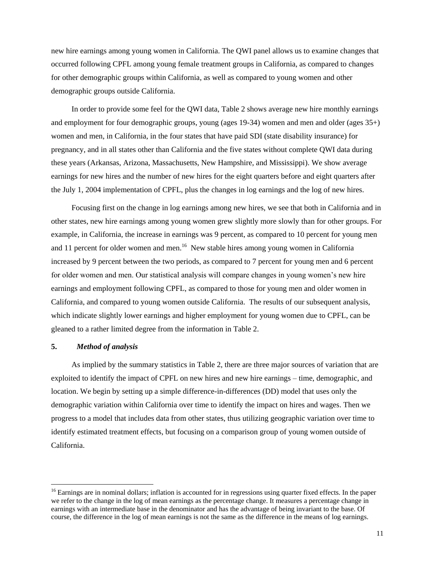new hire earnings among young women in California. The QWI panel allows us to examine changes that occurred following CPFL among young female treatment groups in California, as compared to changes for other demographic groups within California, as well as compared to young women and other demographic groups outside California.

In order to provide some feel for the QWI data, Table 2 shows average new hire monthly earnings and employment for four demographic groups, young (ages 19-34) women and men and older (ages 35+) women and men, in California, in the four states that have paid SDI (state disability insurance) for pregnancy, and in all states other than California and the five states without complete QWI data during these years (Arkansas, Arizona, Massachusetts, New Hampshire, and Mississippi). We show average earnings for new hires and the number of new hires for the eight quarters before and eight quarters after the July 1, 2004 implementation of CPFL, plus the changes in log earnings and the log of new hires.

Focusing first on the change in log earnings among new hires, we see that both in California and in other states, new hire earnings among young women grew slightly more slowly than for other groups. For example, in California, the increase in earnings was 9 percent, as compared to 10 percent for young men and 11 percent for older women and men.<sup>16</sup> New stable hires among young women in California increased by 9 percent between the two periods, as compared to 7 percent for young men and 6 percent for older women and men. Our statistical analysis will compare changes in young women's new hire earnings and employment following CPFL, as compared to those for young men and older women in California, and compared to young women outside California. The results of our subsequent analysis, which indicate slightly lower earnings and higher employment for young women due to CPFL, can be gleaned to a rather limited degree from the information in Table 2.

#### **5.** *Method of analysis*

 $\overline{a}$ 

As implied by the summary statistics in Table 2, there are three major sources of variation that are exploited to identify the impact of CPFL on new hires and new hire earnings – time, demographic, and location. We begin by setting up a simple difference-in-differences (DD) model that uses only the demographic variation within California over time to identify the impact on hires and wages. Then we progress to a model that includes data from other states, thus utilizing geographic variation over time to identify estimated treatment effects, but focusing on a comparison group of young women outside of California.

 $16$  Earnings are in nominal dollars; inflation is accounted for in regressions using quarter fixed effects. In the paper we refer to the change in the log of mean earnings as the percentage change. It measures a percentage change in earnings with an intermediate base in the denominator and has the advantage of being invariant to the base. Of course, the difference in the log of mean earnings is not the same as the difference in the means of log earnings.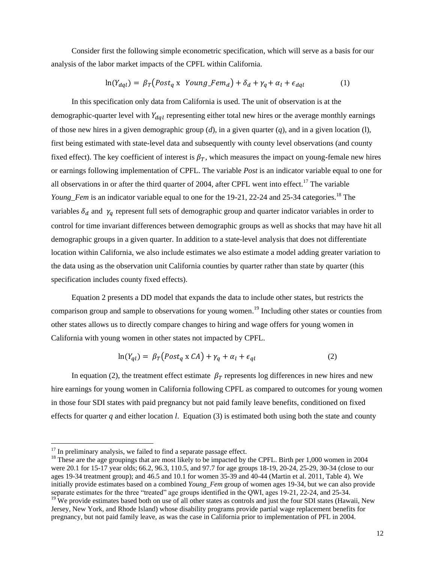Consider first the following simple econometric specification, which will serve as a basis for our analysis of the labor market impacts of the CPFL within California.

$$
\ln(Y_{dql}) = \beta_T \left( Post_q \times Young\_Fem_d \right) + \delta_d + \gamma_q + \alpha_l + \epsilon_{dql} \tag{1}
$$

In this specification only data from California is used. The unit of observation is at the demographic-quarter level with  $Y_{dal}$  representing either total new hires or the average monthly earnings of those new hires in a given demographic group  $(d)$ , in a given quarter  $(q)$ , and in a given location  $(l)$ , first being estimated with state-level data and subsequently with county level observations (and county fixed effect). The key coefficient of interest is  $\beta<sub>T</sub>$ , which measures the impact on young-female new hires or earnings following implementation of CPFL. The variable *Post* is an indicator variable equal to one for all observations in or after the third quarter of 2004, after CPFL went into effect.<sup>17</sup> The variable *Young Fem* is an indicator variable equal to one for the 19-21, 22-24 and 25-34 categories.<sup>18</sup> The variables  $\delta_d$  and  $\gamma_q$  represent full sets of demographic group and quarter indicator variables in order to control for time invariant differences between demographic groups as well as shocks that may have hit all demographic groups in a given quarter. In addition to a state-level analysis that does not differentiate location within California, we also include estimates we also estimate a model adding greater variation to the data using as the observation unit California counties by quarter rather than state by quarter (this specification includes county fixed effects).

Equation 2 presents a DD model that expands the data to include other states, but restricts the comparison group and sample to observations for young women. <sup>19</sup> Including other states or counties from other states allows us to directly compare changes to hiring and wage offers for young women in California with young women in other states not impacted by CPFL.

$$
\ln(Y_{ql}) = \beta_T (Post_q \times CA) + \gamma_q + \alpha_l + \epsilon_{ql} \tag{2}
$$

In equation (2), the treatment effect estimate  $\beta_T$  represents log differences in new hires and new hire earnings for young women in California following CPFL as compared to outcomes for young women in those four SDI states with paid pregnancy but not paid family leave benefits, conditioned on fixed effects for quarter *q* and either location *l*. Equation (3) is estimated both using both the state and county

 $17$  In preliminary analysis, we failed to find a separate passage effect.

<sup>&</sup>lt;sup>18</sup> These are the age groupings that are most likely to be impacted by the CPFL. Birth per 1,000 women in 2004 were 20.1 for 15-17 year olds; 66.2, 96.3, 110.5, and 97.7 for age groups 18-19, 20-24, 25-29, 30-34 (close to our ages 19-34 treatment group); and 46.5 and 10.1 for women 35-39 and 40-44 (Martin et al. 2011, Table 4). We initially provide estimates based on a combined *Young\_Fem* group of women ages 19-34, but we can also provide separate estimates for the three "treated" age groups identified in the QWI, ages 19-21, 22-24, and 25-34.  $19$ <sup>19</sup> We provide estimates based both on use of all other states as controls and just the four SDI states (Hawaii, New

Jersey, New York, and Rhode Island) whose disability programs provide partial wage replacement benefits for pregnancy, but not paid family leave, as was the case in California prior to implementation of PFL in 2004.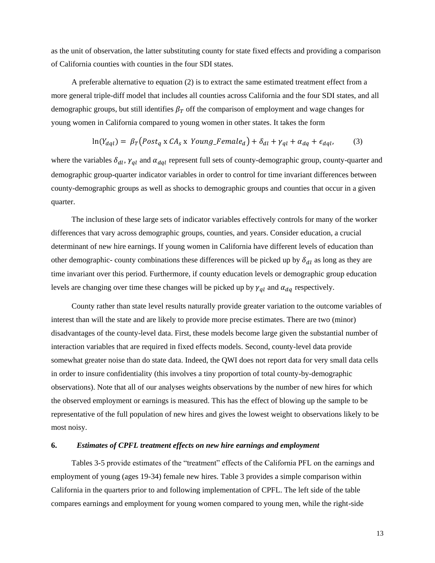as the unit of observation, the latter substituting county for state fixed effects and providing a comparison of California counties with counties in the four SDI states.

A preferable alternative to equation (2) is to extract the same estimated treatment effect from a more general triple-diff model that includes all counties across California and the four SDI states, and all demographic groups, but still identifies  $\beta_T$  off the comparison of employment and wage changes for young women in California compared to young women in other states. It takes the form

$$
\ln(Y_{dql}) = \beta_T \left( \text{Post}_q \times \text{CA}_s \times \text{Young\_Female}_d \right) + \delta_{dl} + \gamma_{ql} + \alpha_{dq} + \epsilon_{dql},\tag{3}
$$

where the variables  $\delta_{dl}$ ,  $\gamma_{ql}$  and  $\alpha_{dal}$  represent full sets of county-demographic group, county-quarter and demographic group-quarter indicator variables in order to control for time invariant differences between county-demographic groups as well as shocks to demographic groups and counties that occur in a given quarter.

The inclusion of these large sets of indicator variables effectively controls for many of the worker differences that vary across demographic groups, counties, and years. Consider education, a crucial determinant of new hire earnings. If young women in California have different levels of education than other demographic- county combinations these differences will be picked up by  $\delta_{dl}$  as long as they are time invariant over this period. Furthermore, if county education levels or demographic group education levels are changing over time these changes will be picked up by  $\gamma_{ql}$  and  $\alpha_{dq}$  respectively.

County rather than state level results naturally provide greater variation to the outcome variables of interest than will the state and are likely to provide more precise estimates. There are two (minor) disadvantages of the county-level data. First, these models become large given the substantial number of interaction variables that are required in fixed effects models. Second, county-level data provide somewhat greater noise than do state data. Indeed, the QWI does not report data for very small data cells in order to insure confidentiality (this involves a tiny proportion of total county-by-demographic observations). Note that all of our analyses weights observations by the number of new hires for which the observed employment or earnings is measured. This has the effect of blowing up the sample to be representative of the full population of new hires and gives the lowest weight to observations likely to be most noisy.

# **6.** *Estimates of CPFL treatment effects on new hire earnings and employment*

Tables 3-5 provide estimates of the "treatment" effects of the California PFL on the earnings and employment of young (ages 19-34) female new hires. Table 3 provides a simple comparison within California in the quarters prior to and following implementation of CPFL. The left side of the table compares earnings and employment for young women compared to young men, while the right-side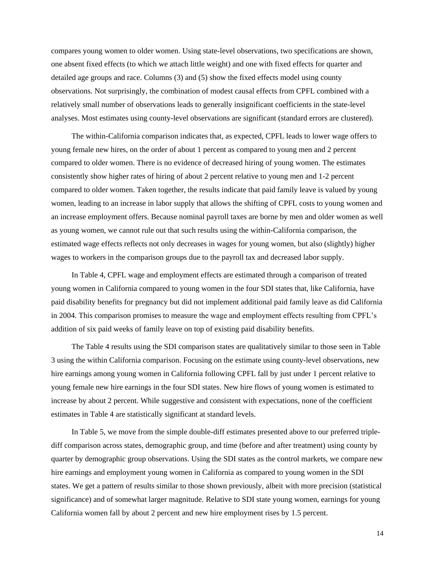compares young women to older women. Using state-level observations, two specifications are shown, one absent fixed effects (to which we attach little weight) and one with fixed effects for quarter and detailed age groups and race. Columns (3) and (5) show the fixed effects model using county observations. Not surprisingly, the combination of modest causal effects from CPFL combined with a relatively small number of observations leads to generally insignificant coefficients in the state-level analyses. Most estimates using county-level observations are significant (standard errors are clustered).

The within-California comparison indicates that, as expected, CPFL leads to lower wage offers to young female new hires, on the order of about 1 percent as compared to young men and 2 percent compared to older women. There is no evidence of decreased hiring of young women. The estimates consistently show higher rates of hiring of about 2 percent relative to young men and 1-2 percent compared to older women. Taken together, the results indicate that paid family leave is valued by young women, leading to an increase in labor supply that allows the shifting of CPFL costs to young women and an increase employment offers. Because nominal payroll taxes are borne by men and older women as well as young women, we cannot rule out that such results using the within-California comparison, the estimated wage effects reflects not only decreases in wages for young women, but also (slightly) higher wages to workers in the comparison groups due to the payroll tax and decreased labor supply.

In Table 4, CPFL wage and employment effects are estimated through a comparison of treated young women in California compared to young women in the four SDI states that, like California, have paid disability benefits for pregnancy but did not implement additional paid family leave as did California in 2004. This comparison promises to measure the wage and employment effects resulting from CPFL's addition of six paid weeks of family leave on top of existing paid disability benefits.

The Table 4 results using the SDI comparison states are qualitatively similar to those seen in Table 3 using the within California comparison. Focusing on the estimate using county-level observations, new hire earnings among young women in California following CPFL fall by just under 1 percent relative to young female new hire earnings in the four SDI states. New hire flows of young women is estimated to increase by about 2 percent. While suggestive and consistent with expectations, none of the coefficient estimates in Table 4 are statistically significant at standard levels.

In Table 5, we move from the simple double-diff estimates presented above to our preferred triplediff comparison across states, demographic group, and time (before and after treatment) using county by quarter by demographic group observations. Using the SDI states as the control markets, we compare new hire earnings and employment young women in California as compared to young women in the SDI states. We get a pattern of results similar to those shown previously, albeit with more precision (statistical significance) and of somewhat larger magnitude. Relative to SDI state young women, earnings for young California women fall by about 2 percent and new hire employment rises by 1.5 percent.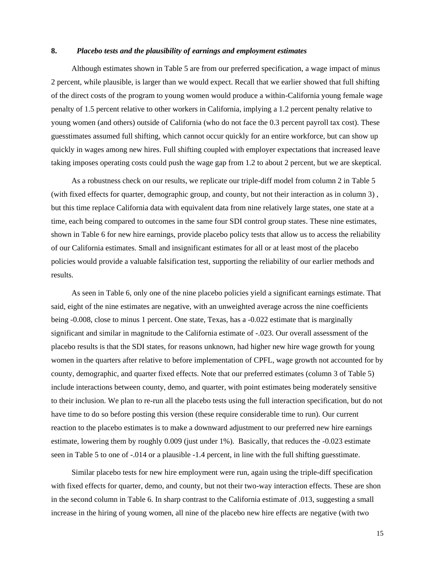## **8.** *Placebo tests and the plausibility of earnings and employment estimates*

Although estimates shown in Table 5 are from our preferred specification, a wage impact of minus 2 percent, while plausible, is larger than we would expect. Recall that we earlier showed that full shifting of the direct costs of the program to young women would produce a within-California young female wage penalty of 1.5 percent relative to other workers in California, implying a 1.2 percent penalty relative to young women (and others) outside of California (who do not face the 0.3 percent payroll tax cost). These guesstimates assumed full shifting, which cannot occur quickly for an entire workforce, but can show up quickly in wages among new hires. Full shifting coupled with employer expectations that increased leave taking imposes operating costs could push the wage gap from 1.2 to about 2 percent, but we are skeptical.

As a robustness check on our results, we replicate our triple-diff model from column 2 in Table 5 (with fixed effects for quarter, demographic group, and county, but not their interaction as in column 3) , but this time replace California data with equivalent data from nine relatively large states, one state at a time, each being compared to outcomes in the same four SDI control group states. These nine estimates, shown in Table 6 for new hire earnings, provide placebo policy tests that allow us to access the reliability of our California estimates. Small and insignificant estimates for all or at least most of the placebo policies would provide a valuable falsification test, supporting the reliability of our earlier methods and results.

As seen in Table 6, only one of the nine placebo policies yield a significant earnings estimate. That said, eight of the nine estimates are negative, with an unweighted average across the nine coefficients being -0.008, close to minus 1 percent. One state, Texas, has a -0.022 estimate that is marginally significant and similar in magnitude to the California estimate of -.023. Our overall assessment of the placebo results is that the SDI states, for reasons unknown, had higher new hire wage growth for young women in the quarters after relative to before implementation of CPFL, wage growth not accounted for by county, demographic, and quarter fixed effects. Note that our preferred estimates (column 3 of Table 5) include interactions between county, demo, and quarter, with point estimates being moderately sensitive to their inclusion. We plan to re-run all the placebo tests using the full interaction specification, but do not have time to do so before posting this version (these require considerable time to run). Our current reaction to the placebo estimates is to make a downward adjustment to our preferred new hire earnings estimate, lowering them by roughly 0.009 (just under 1%). Basically, that reduces the -0.023 estimate seen in Table 5 to one of -.014 or a plausible -1.4 percent, in line with the full shifting guesstimate.

Similar placebo tests for new hire employment were run, again using the triple-diff specification with fixed effects for quarter, demo, and county, but not their two-way interaction effects. These are shon in the second column in Table 6. In sharp contrast to the California estimate of .013, suggesting a small increase in the hiring of young women, all nine of the placebo new hire effects are negative (with two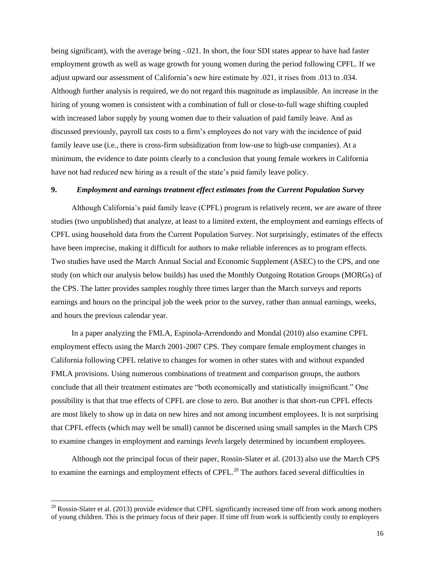being significant), with the average being -.021. In short, the four SDI states appear to have had faster employment growth as well as wage growth for young women during the period following CPFL. If we adjust upward our assessment of California's new hire estimate by .021, it rises from .013 to .034. Although further analysis is required, we do not regard this magnitude as implausible. An increase in the hiring of young women is consistent with a combination of full or close-to-full wage shifting coupled with increased labor supply by young women due to their valuation of paid family leave. And as discussed previously, payroll tax costs to a firm's employees do not vary with the incidence of paid family leave use (i.e., there is cross-firm subsidization from low-use to high-use companies). At a minimum, the evidence to date points clearly to a conclusion that young female workers in California have not had *reduced* new hiring as a result of the state's paid family leave policy.

#### **9.** *Employment and earnings treatment effect estimates from the Current Population Survey*

Although California's paid family leave (CPFL) program is relatively recent, we are aware of three studies (two unpublished) that analyze, at least to a limited extent, the employment and earnings effects of CPFL using household data from the Current Population Survey. Not surprisingly, estimates of the effects have been imprecise, making it difficult for authors to make reliable inferences as to program effects. Two studies have used the March Annual Social and Economic Supplement (ASEC) to the CPS, and one study (on which our analysis below builds) has used the Monthly Outgoing Rotation Groups (MORGs) of the CPS. The latter provides samples roughly three times larger than the March surveys and reports earnings and hours on the principal job the week prior to the survey, rather than annual earnings, weeks, and hours the previous calendar year.

In a paper analyzing the FMLA, Espinola-Arrendondo and Mondal (2010) also examine CPFL employment effects using the March 2001-2007 CPS. They compare female employment changes in California following CPFL relative to changes for women in other states with and without expanded FMLA provisions. Using numerous combinations of treatment and comparison groups, the authors conclude that all their treatment estimates are "both economically and statistically insignificant." One possibility is that that true effects of CPFL are close to zero. But another is that short-run CPFL effects are most likely to show up in data on new hires and not among incumbent employees. It is not surprising that CPFL effects (which may well be small) cannot be discerned using small samples in the March CPS to examine changes in employment and earnings *levels* largely determined by incumbent employees.

Although not the principal focus of their paper, Rossin-Slater et al. (2013) also use the March CPS to examine the earnings and employment effects of CPFL.<sup>20</sup> The authors faced several difficulties in

<sup>&</sup>lt;sup>20</sup> Rossin-Slater et al. (2013) provide evidence that CPFL significantly increased time off from work among mothers of young children. This is the primary focus of their paper. If time off from work is sufficiently costly to employers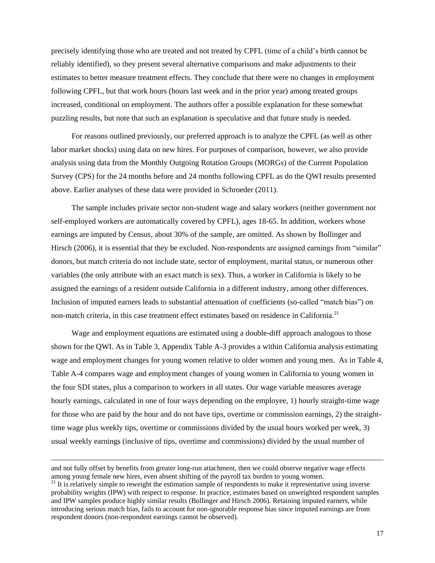precisely identifying those who are treated and not treated by CPFL (time of a child's birth cannot be reliably identified), so they present several alternative comparisons and make adjustments to their estimates to better measure treatment effects. They conclude that there were no changes in employment following CPFL, but that work hours (hours last week and in the prior year) among treated groups increased, conditional on employment. The authors offer a possible explanation for these somewhat puzzling results, but note that such an explanation is speculative and that future study is needed.

For reasons outlined previously, our preferred approach is to analyze the CPFL (as well as other labor market shocks) using data on new hires. For purposes of comparison, however, we also provide analysis using data from the Monthly Outgoing Rotation Groups (MORGs) of the Current Population Survey (CPS) for the 24 months before and 24 months following CPFL as do the QWI results presented above. Earlier analyses of these data were provided in Schroeder (2011).

The sample includes private sector non-student wage and salary workers (neither government nor self-employed workers are automatically covered by CPFL), ages 18-65. In addition, workers whose earnings are imputed by Census, about 30% of the sample, are omitted. As shown by Bollinger and Hirsch (2006), it is essential that they be excluded. Non-respondents are assigned earnings from "similar" donors, but match criteria do not include state, sector of employment, marital status, or numerous other variables (the only attribute with an exact match is sex). Thus, a worker in California is likely to be assigned the earnings of a resident outside California in a different industry, among other differences. Inclusion of imputed earners leads to substantial attenuation of coefficients (so-called "match bias") on non-match criteria, in this case treatment effect estimates based on residence in California.<sup>21</sup>

Wage and employment equations are estimated using a double-diff approach analogous to those shown for the QWI. As in Table 3, Appendix Table A-3 provides a within California analysis estimating wage and employment changes for young women relative to older women and young men. As in Table 4, Table A-4 compares wage and employment changes of young women in California to young women in the four SDI states, plus a comparison to workers in all states. Our wage variable measures average hourly earnings, calculated in one of four ways depending on the employee, 1) hourly straight-time wage for those who are paid by the hour and do not have tips, overtime or commission earnings, 2) the straighttime wage plus weekly tips, overtime or commissions divided by the usual hours worked per week, 3) usual weekly earnings (inclusive of tips, overtime and commissions) divided by the usual number of

and not fully offset by benefits from greater long-run attachment, then we could observe negative wage effects among young female new hires, even absent shifting of the payroll tax burden to young women.

<sup>&</sup>lt;sup>21</sup> It is relatively simple to reweight the estimation sample of respondents to make it representative using inverse probability weights (IPW) with respect to response. In practice, estimates based on unweighted respondent samples and IPW samples produce highly similar results (Bollinger and Hirsch 2006). Retaining imputed earners, while introducing serious match bias, fails to account for non-ignorable response bias since imputed earnings are from respondent donors (non-respondent earnings cannot be observed).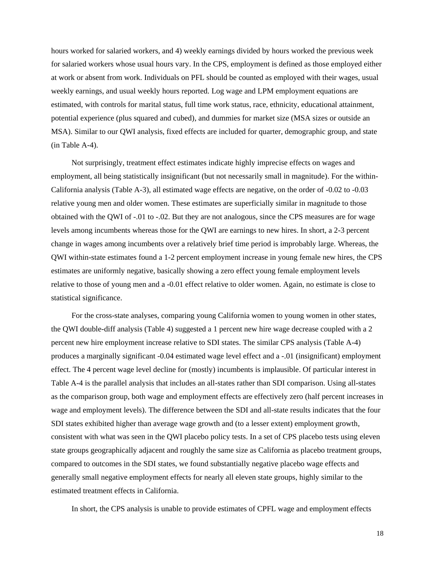hours worked for salaried workers, and 4) weekly earnings divided by hours worked the previous week for salaried workers whose usual hours vary. In the CPS, employment is defined as those employed either at work or absent from work. Individuals on PFL should be counted as employed with their wages, usual weekly earnings, and usual weekly hours reported. Log wage and LPM employment equations are estimated, with controls for marital status, full time work status, race, ethnicity, educational attainment, potential experience (plus squared and cubed), and dummies for market size (MSA sizes or outside an MSA). Similar to our QWI analysis, fixed effects are included for quarter, demographic group, and state (in Table A-4).

Not surprisingly, treatment effect estimates indicate highly imprecise effects on wages and employment, all being statistically insignificant (but not necessarily small in magnitude). For the within-California analysis (Table A-3), all estimated wage effects are negative, on the order of -0.02 to -0.03 relative young men and older women. These estimates are superficially similar in magnitude to those obtained with the QWI of -.01 to -.02. But they are not analogous, since the CPS measures are for wage levels among incumbents whereas those for the QWI are earnings to new hires. In short, a 2-3 percent change in wages among incumbents over a relatively brief time period is improbably large. Whereas, the QWI within-state estimates found a 1-2 percent employment increase in young female new hires, the CPS estimates are uniformly negative, basically showing a zero effect young female employment levels relative to those of young men and a -0.01 effect relative to older women. Again, no estimate is close to statistical significance.

For the cross-state analyses, comparing young California women to young women in other states, the QWI double-diff analysis (Table 4) suggested a 1 percent new hire wage decrease coupled with a 2 percent new hire employment increase relative to SDI states. The similar CPS analysis (Table A-4) produces a marginally significant -0.04 estimated wage level effect and a -.01 (insignificant) employment effect. The 4 percent wage level decline for (mostly) incumbents is implausible. Of particular interest in Table A-4 is the parallel analysis that includes an all-states rather than SDI comparison. Using all-states as the comparison group, both wage and employment effects are effectively zero (half percent increases in wage and employment levels). The difference between the SDI and all-state results indicates that the four SDI states exhibited higher than average wage growth and (to a lesser extent) employment growth, consistent with what was seen in the QWI placebo policy tests. In a set of CPS placebo tests using eleven state groups geographically adjacent and roughly the same size as California as placebo treatment groups, compared to outcomes in the SDI states, we found substantially negative placebo wage effects and generally small negative employment effects for nearly all eleven state groups, highly similar to the estimated treatment effects in California.

In short, the CPS analysis is unable to provide estimates of CPFL wage and employment effects

18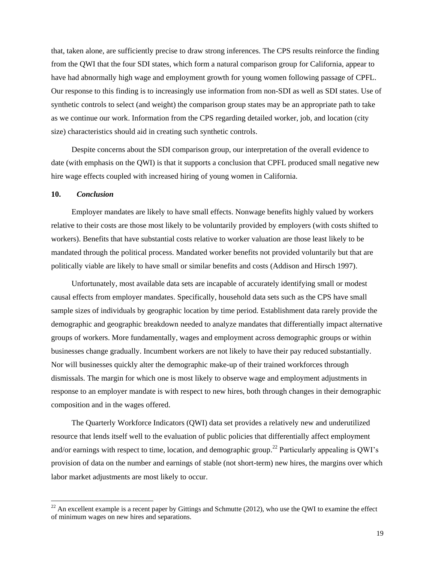that, taken alone, are sufficiently precise to draw strong inferences. The CPS results reinforce the finding from the QWI that the four SDI states, which form a natural comparison group for California, appear to have had abnormally high wage and employment growth for young women following passage of CPFL. Our response to this finding is to increasingly use information from non-SDI as well as SDI states. Use of synthetic controls to select (and weight) the comparison group states may be an appropriate path to take as we continue our work. Information from the CPS regarding detailed worker, job, and location (city size) characteristics should aid in creating such synthetic controls.

Despite concerns about the SDI comparison group, our interpretation of the overall evidence to date (with emphasis on the QWI) is that it supports a conclusion that CPFL produced small negative new hire wage effects coupled with increased hiring of young women in California.

#### **10.** *Conclusion*

 $\overline{a}$ 

Employer mandates are likely to have small effects. Nonwage benefits highly valued by workers relative to their costs are those most likely to be voluntarily provided by employers (with costs shifted to workers). Benefits that have substantial costs relative to worker valuation are those least likely to be mandated through the political process. Mandated worker benefits not provided voluntarily but that are politically viable are likely to have small or similar benefits and costs (Addison and Hirsch 1997).

Unfortunately, most available data sets are incapable of accurately identifying small or modest causal effects from employer mandates. Specifically, household data sets such as the CPS have small sample sizes of individuals by geographic location by time period. Establishment data rarely provide the demographic and geographic breakdown needed to analyze mandates that differentially impact alternative groups of workers. More fundamentally, wages and employment across demographic groups or within businesses change gradually. Incumbent workers are not likely to have their pay reduced substantially. Nor will businesses quickly alter the demographic make-up of their trained workforces through dismissals. The margin for which one is most likely to observe wage and employment adjustments in response to an employer mandate is with respect to new hires, both through changes in their demographic composition and in the wages offered.

The Quarterly Workforce Indicators (QWI) data set provides a relatively new and underutilized resource that lends itself well to the evaluation of public policies that differentially affect employment and/or earnings with respect to time, location, and demographic group.<sup>22</sup> Particularly appealing is QWI's provision of data on the number and earnings of stable (not short-term) new hires, the margins over which labor market adjustments are most likely to occur.

 $^{22}$  An excellent example is a recent paper by Gittings and Schmutte (2012), who use the QWI to examine the effect of minimum wages on new hires and separations.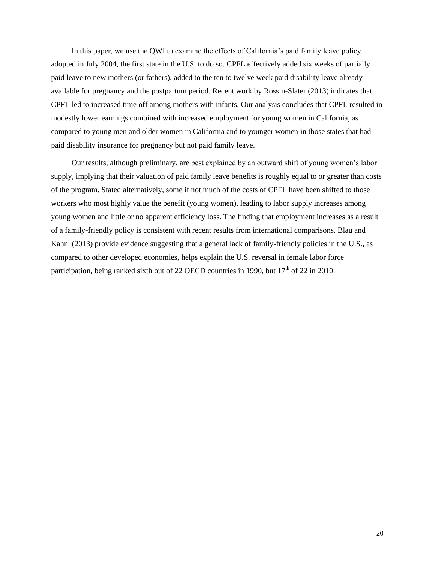In this paper, we use the QWI to examine the effects of California's paid family leave policy adopted in July 2004, the first state in the U.S. to do so. CPFL effectively added six weeks of partially paid leave to new mothers (or fathers), added to the ten to twelve week paid disability leave already available for pregnancy and the postpartum period. Recent work by Rossin-Slater (2013) indicates that CPFL led to increased time off among mothers with infants. Our analysis concludes that CPFL resulted in modestly lower earnings combined with increased employment for young women in California, as compared to young men and older women in California and to younger women in those states that had paid disability insurance for pregnancy but not paid family leave.

Our results, although preliminary, are best explained by an outward shift of young women's labor supply, implying that their valuation of paid family leave benefits is roughly equal to or greater than costs of the program. Stated alternatively, some if not much of the costs of CPFL have been shifted to those workers who most highly value the benefit (young women), leading to labor supply increases among young women and little or no apparent efficiency loss. The finding that employment increases as a result of a family-friendly policy is consistent with recent results from international comparisons. Blau and Kahn (2013) provide evidence suggesting that a general lack of family-friendly policies in the U.S., as compared to other developed economies, helps explain the U.S. reversal in female labor force participation, being ranked sixth out of 22 OECD countries in 1990, but 17<sup>th</sup> of 22 in 2010.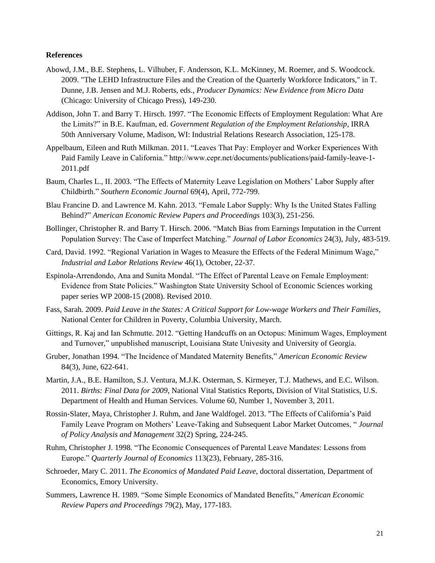#### **References**

- Abowd, J.M., B.E. Stephens, L. Vilhuber, F. Andersson, K.L. McKinney, M. Roemer, and S. Woodcock. 2009. "The LEHD Infrastructure Files and the Creation of the Quarterly Workforce Indicators," in T. Dunne, J.B. Jensen and M.J. Roberts, eds., *Producer Dynamics: New Evidence from Micro Data* (Chicago: University of Chicago Press), 149-230.
- Addison, John T. and Barry T. Hirsch. 1997. "The Economic Effects of Employment Regulation: What Are the Limits?" in B.E. Kaufman, ed. *Government Regulation of the Employment Relationship*, IRRA 50th Anniversary Volume, Madison, WI: Industrial Relations Research Association, 125-178.
- Appelbaum, Eileen and Ruth Milkman. 2011. "Leaves That Pay: Employer and Worker Experiences With Paid Family Leave in California." http://www.cepr.net/documents/publications/paid-family-leave-1- 2011.pdf
- Baum, Charles L., II. 2003. "The Effects of Maternity Leave Legislation on Mothers' Labor Supply after Childbirth." *Southern Economic Journal* 69(4), April, 772-799.
- Blau Francine D. and Lawrence M. Kahn. 2013. "Female Labor Supply: Why Is the United States Falling Behind?" *American Economic Review Papers and Proceedings* 103(3), 251-256.
- Bollinger, Christopher R. and Barry T. Hirsch. 2006. "Match Bias from Earnings Imputation in the Current Population Survey: The Case of Imperfect Matching." *Journal of Labor Economics* 24(3), July, 483-519.
- Card, David. 1992. "Regional Variation in Wages to Measure the Effects of the Federal Minimum Wage," *Industrial and Labor Relations Review* 46(1), October, 22-37.
- Espinola-Arrendondo, Ana and Sunita Mondal. "The Effect of Parental Leave on Female Employment: Evidence from State Policies." Washington State University School of Economic Sciences working paper series WP 2008-15 (2008). Revised 2010.
- Fass, Sarah. 2009. *Paid Leave in the States: A Critical Support for Low-wage Workers and Their Families*, National Center for Children in Poverty, Columbia University, March.
- Gittings, R. Kaj and Ian Schmutte. 2012. "Getting Handcuffs on an Octopus: Minimum Wages, Employment and Turnover," unpublished manuscript, Louisiana State Univesity and University of Georgia.
- Gruber, Jonathan 1994. "The Incidence of Mandated Maternity Benefits," *American Economic Review* 84(3), June, 622-641.
- Martin, J.A., B.E. Hamilton, S.J. Ventura, M.J.K. Osterman, S. Kirmeyer, T.J. Mathews, and E.C. Wilson. 2011. *Births: Final Data for 2009*, National Vital Statistics Reports, Division of Vital Statistics, U.S. Department of Health and Human Services. Volume 60, Number 1, November 3, 2011.
- Rossin-Slater, Maya, Christopher J. Ruhm, and Jane Waldfogel. 2013. "The Effects of California's Paid Family Leave Program on Mothers' Leave-Taking and Subsequent Labor Market Outcomes, " *Journal of Policy Analysis and Management* 32(2) Spring, 224-245.
- Ruhm, Christopher J. 1998. "The Economic Consequences of Parental Leave Mandates: Lessons from Europe." *Quarterly Journal of Economics* 113(23), February, 285-316.
- Schroeder, Mary C. 2011. *The Economics of Mandated Paid Leave*, doctoral dissertation, Department of Economics, Emory University.
- Summers, Lawrence H. 1989. "Some Simple Economics of Mandated Benefits," *American Economic Review Papers and Proceedings* 79(2), May, 177-183.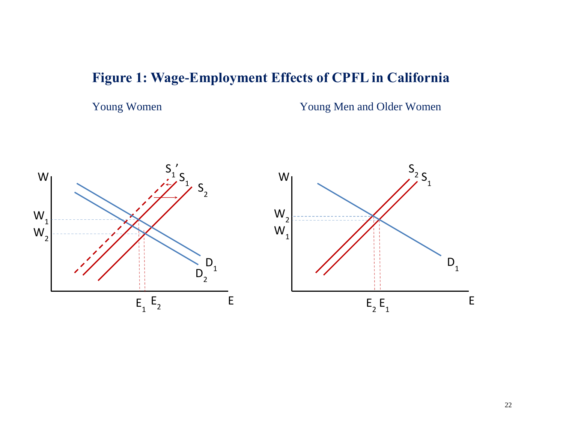# **Figure 1: Wage-Employment Effects of CPFL in California**

Young Women Young Men and Older Women

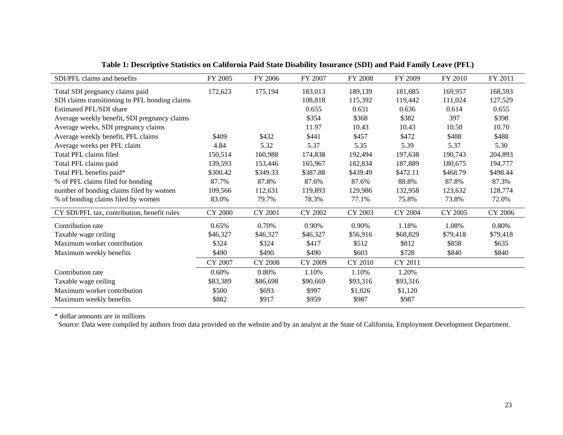| SDI/PFL claims and benefits                    | FY 2005        | FY 2006        | FY 2007        | FY 2008        | FY 2009  | FY 2010  | FY 2011  |
|------------------------------------------------|----------------|----------------|----------------|----------------|----------|----------|----------|
| Total SDI pregnancy claims paid                | 172,623        | 175,194        | 183,013        | 189,139        | 181,685  | 169,957  | 168,593  |
| SDI claims transitioning to PFL bonding claims |                |                | 108,818        | 115,392        | 119,442  | 111,024  | 127,529  |
| Estimated PFL/SDI share                        |                |                | 0.655          | 0.631          | 0.636    | 0.614    | 0.655    |
| Average weekly benefit, SDI pregnancy claims   |                |                | \$354          | \$368          | \$382    | 397      | \$398    |
| Average weeks, SDI pregnancy claims            |                |                | 11.97          | 10.43          | 10.43    | 10.50    | 10.70    |
| Average weekly benefit, PFL claims             | \$409          | \$432          | \$441          | \$457          | \$472    | \$488    | \$488    |
| Average weeks per PFL claim                    | 4.84           | 5.32           | 5.37           | 5.35           | 5.39     | 5.37     | 5.30     |
| Total PFL claims filed                         | 150,514        | 160,988        | 174,838        | 192,494        | 197,638  | 190,743  | 204,893  |
| Total PFL claims paid                          | 139,593        | 153,446        | 165,967        | 182,834        | 187,889  | 180,675  | 194,777  |
| Total PFL benefits paid*                       | \$300.42       | \$349.33       | \$387.88       | \$439.49       | \$472.11 | \$468.79 | \$498.44 |
| % of PFL claims filed for bonding              | 87.7%          | 87.8%          | 87.6%          | 87.6%          | 88.8%    | 87.8%    | 87.3%    |
| number of bonding claims filed by women        | 109,566        | 112,631        | 119,893        | 129,986        | 132,958  | 123,632  | 128,774  |
| % of bonding claims filed by women             | 83.0%          | 79.7%          | 78.3%          | 77.1%          | 75.8%    | 73.8%    | 72.0%    |
| CY SDI/PFL tax, contribution, benefit rules    | <b>CY 2000</b> | <b>CY 2001</b> | <b>CY 2002</b> | CY 2003        | CY 2004  | CY 2005  | CY 2006  |
| Contribution rate                              | 0.65%          | 0.70%          | 0.90%          | 0.90%          | 1.18%    | 1.08%    | 0.80%    |
| Taxable wage ceiling                           | \$46,327       | \$46,327       | \$46,327       | \$56,916       | \$68,829 | \$79,418 | \$79,418 |
| Maximum worker contribution                    | \$324          | \$324          | \$417          | \$512          | \$812    | \$858    | \$635    |
| Maximum weekly benefits                        | \$490          | \$490          | \$490          | \$603          | \$728    | \$840    | \$840    |
|                                                | CY 2007        | <b>CY 2008</b> | CY 2009        | <b>CY 2010</b> | CY 2011  |          |          |
| Contribution rate                              | 0.60%          | 0.80%          | 1.10%          | 1.10%          | 1.20%    |          |          |
| Taxable wage ceiling                           | \$83,389       | \$86,698       | \$90,669       | \$93,316       | \$93,316 |          |          |
| Maximum worker contribution                    | \$500          | \$693          | \$997          | \$1,026        | \$1,120  |          |          |
| Maximum weekly benefits                        | \$882          | \$917          | \$959          | \$987          | \$987    |          |          |

# **Table 1: Descriptive Statistics on California Paid State Disability Insurance (SDI) and Paid Family Leave (PFL)**

\* dollar amounts are in millions

Source: Data were compiled by authors from data provided on the website and by an analyst at the State of California, Employment Development Department.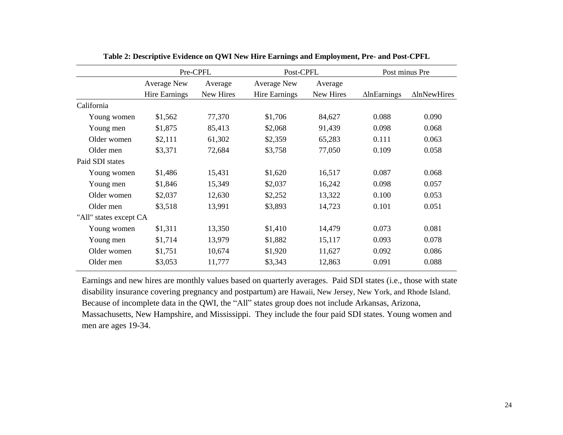|                        | Pre-CPFL             |           | Post-CPFL            |           | Post minus Pre      |                     |
|------------------------|----------------------|-----------|----------------------|-----------|---------------------|---------------------|
|                        | <b>Average New</b>   | Average   | <b>Average New</b>   | Average   |                     |                     |
|                        | <b>Hire Earnings</b> | New Hires | <b>Hire Earnings</b> | New Hires | $\Delta$ lnEarnings | $\Delta$ lnNewHires |
| California             |                      |           |                      |           |                     |                     |
| Young women            | \$1,562              | 77,370    | \$1,706              | 84,627    | 0.088               | 0.090               |
| Young men              | \$1,875              | 85,413    | \$2,068              | 91,439    | 0.098               | 0.068               |
| Older women            | \$2,111              | 61,302    | \$2,359              | 65,283    | 0.111               | 0.063               |
| Older men              | \$3,371              | 72,684    | \$3,758              | 77,050    | 0.109               | 0.058               |
| Paid SDI states        |                      |           |                      |           |                     |                     |
| Young women            | \$1,486              | 15,431    | \$1,620              | 16,517    | 0.087               | 0.068               |
| Young men              | \$1,846              | 15,349    | \$2,037              | 16,242    | 0.098               | 0.057               |
| Older women            | \$2,037              | 12,630    | \$2,252              | 13,322    | 0.100               | 0.053               |
| Older men              | \$3,518              | 13,991    | \$3,893              | 14,723    | 0.101               | 0.051               |
| "All" states except CA |                      |           |                      |           |                     |                     |
| Young women            | \$1,311              | 13,350    | \$1,410              | 14,479    | 0.073               | 0.081               |
| Young men              | \$1,714              | 13,979    | \$1,882              | 15,117    | 0.093               | 0.078               |
| Older women            | \$1,751              | 10,674    | \$1,920              | 11,627    | 0.092               | 0.086               |
| Older men              | \$3,053              | 11,777    | \$3,343              | 12,863    | 0.091               | 0.088               |
|                        |                      |           |                      |           |                     |                     |

|  |  |  | Table 2: Descriptive Evidence on QWI New Hire Earnings and Employment, Pre- and Post-CPFL |
|--|--|--|-------------------------------------------------------------------------------------------|
|  |  |  |                                                                                           |

Earnings and new hires are monthly values based on quarterly averages. Paid SDI states (i.e., those with state disability insurance covering pregnancy and postpartum) are Hawaii, New Jersey, New York, and Rhode Island. Because of incomplete data in the QWI, the "All" states group does not include Arkansas, Arizona, Massachusetts, New Hampshire, and Mississippi. They include the four paid SDI states. Young women and men are ages 19-34.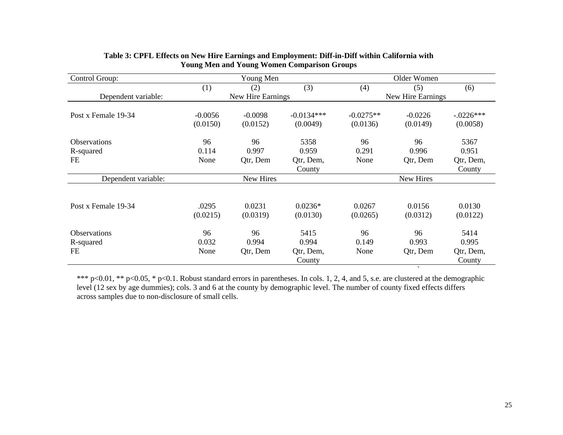| Control Group:                   |                   | Young Men          |                       |                    | Older Women        |                     |
|----------------------------------|-------------------|--------------------|-----------------------|--------------------|--------------------|---------------------|
|                                  | (1)               | (2)                | (3)                   | (4)                | (5)                | (6)                 |
| Dependent variable:              |                   | New Hire Earnings  |                       |                    | New Hire Earnings  |                     |
| Post x Female 19-34              | $-0.0056$         | $-0.0098$          | $-0.0134***$          | $-0.0275**$        | $-0.0226$          | $-.0226***$         |
|                                  | (0.0150)          | (0.0152)           | (0.0049)              | (0.0136)           | (0.0149)           | (0.0058)            |
| <b>Observations</b><br>R-squared | 96<br>0.114       | 96<br>0.997        | 5358<br>0.959         | 96<br>0.291        | 96<br>0.996        | 5367<br>0.951       |
| FE                               | None              | Qtr, Dem           | Qtr, Dem,<br>County   | None               | Qtr, Dem           | Qtr, Dem,<br>County |
| Dependent variable:              |                   | New Hires          |                       |                    | New Hires          |                     |
|                                  |                   |                    |                       |                    |                    |                     |
| Post x Female 19-34              | .0295<br>(0.0215) | 0.0231<br>(0.0319) | $0.0236*$<br>(0.0130) | 0.0267<br>(0.0265) | 0.0156<br>(0.0312) | 0.0130<br>(0.0122)  |
| Observations                     | 96                | 96                 | 5415                  | 96                 | 96                 | 5414                |
| R-squared                        | 0.032             | 0.994              | 0.994                 | 0.149              | 0.993              | 0.995               |
| FE                               | None              | Otr, Dem           | Qtr, Dem,             | None               | Qtr, Dem           | Qtr, Dem,           |
|                                  |                   |                    | County                |                    |                    | County              |
|                                  |                   |                    |                       |                    | $\sim$             |                     |

## **Table 3: CPFL Effects on New Hire Earnings and Employment: Diff-in-Diff within California with Young Men and Young Women Comparison Groups**

\*\*\* p<0.01, \*\* p<0.05, \* p<0.1. Robust standard errors in parentheses. In cols. 1, 2, 4, and 5, s.e. are clustered at the demographic level (12 sex by age dummies); cols. 3 and 6 at the county by demographic level. The number of county fixed effects differs across samples due to non-disclosure of small cells.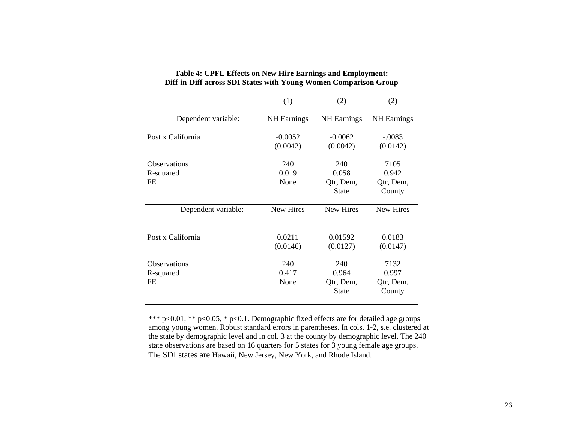|                                        | (1)                   | (2)                                       | (2)                                  |
|----------------------------------------|-----------------------|-------------------------------------------|--------------------------------------|
| Dependent variable:                    | <b>NH</b> Earnings    | <b>NH</b> Earnings                        | <b>NH</b> Earnings                   |
| Post x California                      | $-0.0052$<br>(0.0042) | $-0.0062$<br>(0.0042)                     | $-.0083$<br>(0.0142)                 |
| <b>Observations</b><br>R-squared<br>FE | 240<br>0.019<br>None  | 240<br>0.058<br>Qtr, Dem,<br><b>State</b> | 7105<br>0.942<br>Qtr, Dem,<br>County |
| Dependent variable:                    | New Hires             | <b>New Hires</b>                          | New Hires                            |
| Post x California                      | 0.0211<br>(0.0146)    | 0.01592<br>(0.0127)                       | 0.0183<br>(0.0147)                   |
| <b>Observations</b><br>R-squared<br>FE | 240<br>0.417<br>None  | 240<br>0.964<br>Qtr, Dem,<br><b>State</b> | 7132<br>0.997<br>Qtr, Dem,<br>County |

# **Table 4: CPFL Effects on New Hire Earnings and Employment: Diff-in-Diff across SDI States with Young Women Comparison Group**

\*\*\* p<0.01, \*\* p<0.05, \* p<0.1. Demographic fixed effects are for detailed age groups among young women. Robust standard errors in parentheses. In cols. 1-2, s.e. clustered at the state by demographic level and in col. 3 at the county by demographic level. The 240 state observations are based on 16 quarters for 5 states for 3 young female age groups. The SDI states are Hawaii, New Jersey, New York, and Rhode Island.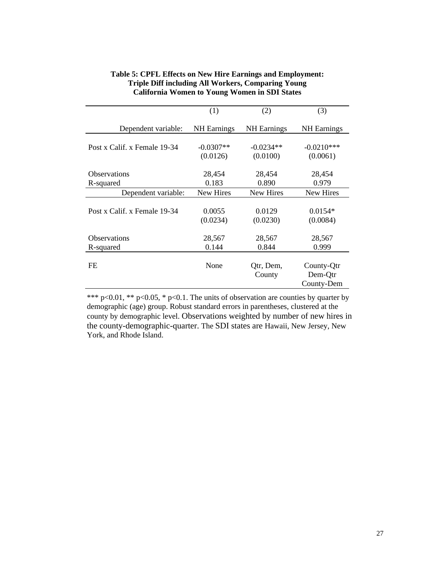|                              | (1)                     | (2)                     | (3)                                 |
|------------------------------|-------------------------|-------------------------|-------------------------------------|
| Dependent variable:          | <b>NH</b> Earnings      | <b>NH</b> Earnings      | <b>NH</b> Earnings                  |
| Post x Calif. x Female 19-34 | $-0.0307**$<br>(0.0126) | $-0.0234**$<br>(0.0100) | $-0.0210***$<br>(0.0061)            |
|                              |                         |                         |                                     |
| <b>Observations</b>          | 28,454                  | 28,454                  | 28,454                              |
| R-squared                    | 0.183                   | 0.890                   | 0.979                               |
| Dependent variable:          | New Hires               | New Hires               | New Hires                           |
| Post x Calif. x Female 19-34 | 0.0055<br>(0.0234)      | 0.0129<br>(0.0230)      | $0.0154*$<br>(0.0084)               |
| <b>Observations</b>          | 28,567                  | 28,567                  | 28,567                              |
| R-squared                    | 0.144                   | 0.844                   | 0.999                               |
| <b>FE</b>                    | None                    | Qtr, Dem,<br>County     | County-Qtr<br>Dem-Qtr<br>County-Dem |

# **Table 5: CPFL Effects on New Hire Earnings and Employment: Triple Diff including All Workers, Comparing Young California Women to Young Women in SDI States**

\*\*\* p<0.01, \*\* p<0.05, \* p<0.1. The units of observation are counties by quarter by demographic (age) group. Robust standard errors in parentheses, clustered at the county by demographic level. Observations weighted by number of new hires in the county-demographic-quarter. The SDI states are Hawaii, New Jersey, New York, and Rhode Island.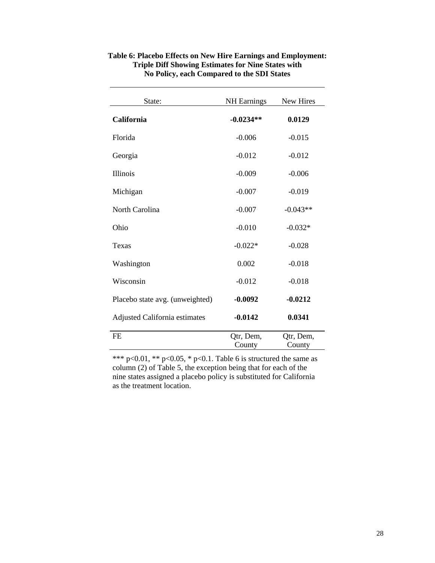| State:                          | <b>NH</b> Earnings  | New Hires           |
|---------------------------------|---------------------|---------------------|
| <b>California</b>               | $-0.0234**$         | 0.0129              |
| Florida                         | $-0.006$            | $-0.015$            |
| Georgia                         | $-0.012$            | $-0.012$            |
| <b>Illinois</b>                 | $-0.009$            | $-0.006$            |
| Michigan                        | $-0.007$            | $-0.019$            |
| North Carolina                  | $-0.007$            | $-0.043**$          |
| Ohio                            | $-0.010$            | $-0.032*$           |
| Texas                           | $-0.022*$           | $-0.028$            |
| Washington                      | 0.002               | $-0.018$            |
| Wisconsin                       | $-0.012$            | $-0.018$            |
| Placebo state avg. (unweighted) | $-0.0092$           | $-0.0212$           |
| Adjusted California estimates   | $-0.0142$           | 0.0341              |
| <b>FE</b>                       | Qtr, Dem,<br>County | Qtr, Dem,<br>County |

# **Table 6: Placebo Effects on New Hire Earnings and Employment: Triple Diff Showing Estimates for Nine States with No Policy, each Compared to the SDI States**

\*\*\* p<0.01, \*\* p<0.05, \* p<0.1. Table 6 is structured the same as column (2) of Table 5, the exception being that for each of the nine states assigned a placebo policy is substituted for California as the treatment location.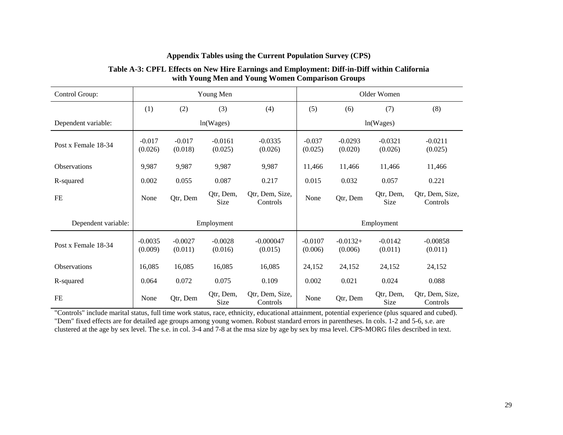| Control Group:      | Young Men                |                      |                      | Older Women                 |                      |                       |                      |                             |
|---------------------|--------------------------|----------------------|----------------------|-----------------------------|----------------------|-----------------------|----------------------|-----------------------------|
|                     | (1)                      | (2)                  | (3)                  | (4)                         | (5)                  | (6)                   | (7)                  | (8)                         |
| Dependent variable: | ln(Wages)                |                      |                      |                             | ln(Wages)            |                       |                      |                             |
| Post x Female 18-34 | $-0.017$<br>(0.026)      | $-0.017$<br>(0.018)  | $-0.0161$<br>(0.025) | $-0.0335$<br>(0.026)        | $-0.037$<br>(0.025)  | $-0.0293$<br>(0.020)  | $-0.0321$<br>(0.026) | $-0.0211$<br>(0.025)        |
| <b>Observations</b> | 9,987                    | 9,987                | 9,987                | 9,987                       | 11,466               | 11,466                | 11,466               | 11,466                      |
| R-squared           | 0.002                    | 0.055                | 0.087                | 0.217                       | 0.015                | 0.032                 | 0.057                | 0.221                       |
| FE                  | None                     | Qtr, Dem             | Qtr, Dem,<br>Size    | Qtr, Dem, Size,<br>Controls | None                 | Qtr, Dem              | Qtr, Dem,<br>Size    | Qtr, Dem, Size,<br>Controls |
| Dependent variable: | Employment<br>Employment |                      |                      |                             |                      |                       |                      |                             |
| Post x Female 18-34 | $-0.0035$<br>(0.009)     | $-0.0027$<br>(0.011) | $-0.0028$<br>(0.016) | $-0.000047$<br>(0.015)      | $-0.0107$<br>(0.006) | $-0.0132+$<br>(0.006) | $-0.0142$<br>(0.011) | $-0.00858$<br>(0.011)       |
| <b>Observations</b> | 16,085                   | 16,085               | 16,085               | 16,085                      | 24,152               | 24,152                | 24,152               | 24,152                      |
| R-squared           | 0.064                    | 0.072                | 0.075                | 0.109                       | 0.002                | 0.021                 | 0.024                | 0.088                       |
| FE                  | None                     | Qtr, Dem             | Qtr, Dem,<br>Size    | Qtr, Dem, Size,<br>Controls | None                 | Qtr, Dem              | Qtr, Dem,<br>Size    | Qtr, Dem, Size,<br>Controls |

# **Appendix Tables using the Current Population Survey (CPS)**

**Table A-3: CPFL Effects on New Hire Earnings and Employment: Diff-in-Diff within California with Young Men and Young Women Comparison Groups**

"Controls" include marital status, full time work status, race, ethnicity, educational attainment, potential experience (plus squared and cubed). "Dem" fixed effects are for detailed age groups among young women. Robust standard errors in parentheses. In cols. 1-2 and 5-6, s.e. are clustered at the age by sex level. The s.e. in col. 3-4 and 7-8 at the msa size by age by sex by msa level. CPS-MORG files described in text.